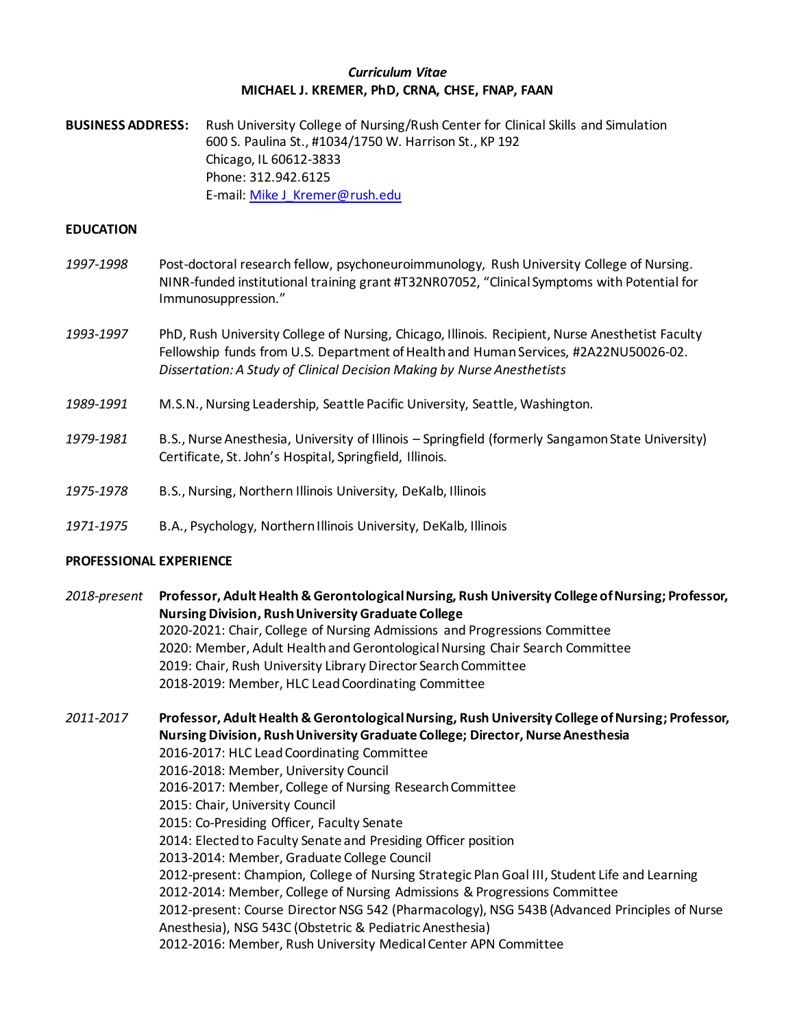### *Curriculum Vitae* **MICHAEL J. KREMER, PhD, CRNA, CHSE, FNAP, FAAN**

**BUSINESS ADDRESS:** Rush University College of Nursing/Rush Center for Clinical Skills and Simulation 600 S. Paulina St., #1034/1750 W. Harrison St., KP 192 Chicago, IL 60612-3833 Phone: 312.942.6125 E-mail[: Mike J\\_Kremer@rush.edu](mailto:Mike%20J_Kremer@rush.edu)

### **EDUCATION**

- *1997-1998* Post-doctoral research fellow, psychoneuroimmunology, Rush University College of Nursing. NINR-funded institutional training grant #T32NR07052, "Clinical Symptoms with Potential for Immunosuppression."
- *1993-1997* PhD, Rush University College of Nursing, Chicago, Illinois. Recipient, Nurse Anesthetist Faculty Fellowship funds from U.S. Department of Health and Human Services, #2A22NU50026-02. *Dissertation: A Study of Clinical Decision Making by Nurse Anesthetists*
- *1989-1991* M.S.N., Nursing Leadership, Seattle Pacific University, Seattle, Washington.
- *1979-1981* B.S., Nurse Anesthesia, University of Illinois Springfield (formerly Sangamon State University) Certificate, St. John's Hospital, Springfield, Illinois.
- *1975-1978* B.S., Nursing, Northern Illinois University, DeKalb, Illinois
- *1971-1975* B.A., Psychology, Northern Illinois University, DeKalb, Illinois

### **PROFESSIONAL EXPERIENCE**

*2018-present* **Professor, Adult Health & Gerontological Nursing, Rush University College of Nursing; Professor, Nursing Division, Rush University Graduate College** 2020-2021: Chair, College of Nursing Admissions and Progressions Committee 2020: Member, Adult Health and Gerontological Nursing Chair Search Committee 2019: Chair, Rush University Library Director Search Committee 2018-2019: Member, HLC Lead Coordinating Committee

*2011-2017* **Professor, Adult Health & Gerontological Nursing, Rush University College of Nursing; Professor, Nursing Division, Rush University Graduate College; Director, Nurse Anesthesia** 2016-2017: HLC Lead Coordinating Committee 2016-2018: Member, University Council 2016-2017: Member, College of Nursing Research Committee 2015: Chair, University Council 2015: Co-Presiding Officer, Faculty Senate 2014: Elected to Faculty Senate and Presiding Officer position 2013-2014: Member, Graduate College Council 2012-present: Champion, College of Nursing Strategic Plan Goal III, Student Life and Learning 2012-2014: Member, College of Nursing Admissions & Progressions Committee 2012-present: Course Director NSG 542 (Pharmacology), NSG 543B (Advanced Principles of Nurse Anesthesia), NSG 543C (Obstetric & Pediatric Anesthesia) 2012-2016: Member, Rush University Medical Center APN Committee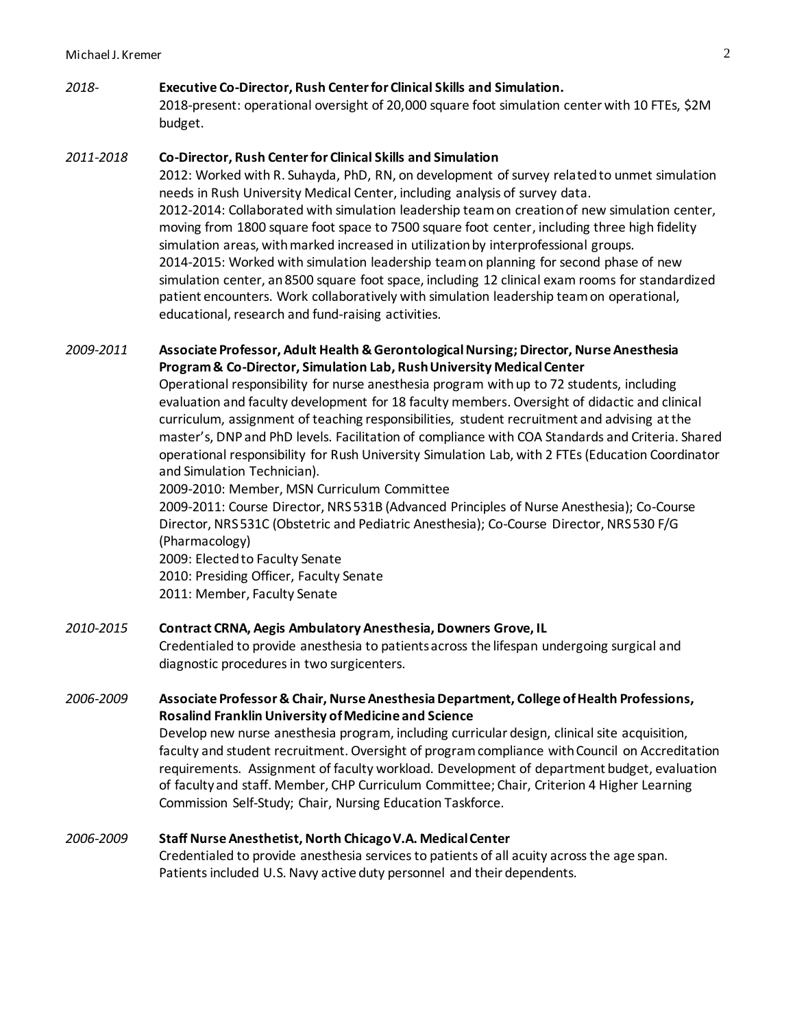# *2018-* **Executive Co-Director, Rush Center for Clinical Skills and Simulation.**

2018-present: operational oversight of 20,000 square foot simulation center with 10 FTEs, \$2M budget.

# *2011-2018* **Co-Director, Rush Center for Clinical Skills and Simulation**

2012: Worked with R. Suhayda, PhD, RN, on development of survey related to unmet simulation needs in Rush University Medical Center, including analysis of survey data. 2012-2014: Collaborated with simulation leadership team on creation of new simulation center, moving from 1800 square foot space to 7500 square foot center, including three high fidelity simulation areas, with marked increased in utilization by interprofessional groups. 2014-2015: Worked with simulation leadership team on planning for second phase of new simulation center, an 8500 square foot space, including 12 clinical exam rooms for standardized patient encounters. Work collaboratively with simulation leadership team on operational, educational, research and fund-raising activities.

# *2009-2011* **Associate Professor, Adult Health & GerontologicalNursing; Director, Nurse Anesthesia Program & Co-Director, Simulation Lab, Rush University Medical Center**

Operational responsibility for nurse anesthesia program withup to 72 students, including evaluation and faculty development for 18 faculty members. Oversight of didactic and clinical curriculum, assignment of teaching responsibilities, student recruitment and advising at the master's, DNPand PhD levels. Facilitation of compliance with COA Standards and Criteria. Shared operational responsibility for Rush University Simulation Lab, with 2 FTEs (Education Coordinator and Simulation Technician).

2009-2010: Member, MSN Curriculum Committee

2009-2011: Course Director, NRS 531B (Advanced Principles of Nurse Anesthesia); Co-Course Director, NRS 531C (Obstetric and Pediatric Anesthesia); Co-Course Director, NRS 530 F/G (Pharmacology)

2009: Elected to Faculty Senate 2010: Presiding Officer, Faculty Senate 2011: Member, Faculty Senate

# *2010-2015* **Contract CRNA, Aegis Ambulatory Anesthesia, Downers Grove, IL**

Credentialed to provide anesthesia to patients across the lifespan undergoing surgical and diagnostic procedures in two surgicenters.

# *2006-2009* **Associate Professor & Chair, Nurse Anesthesia Department, College of Health Professions, Rosalind Franklin University of Medicine and Science**

Develop new nurse anesthesia program, including curricular design, clinical site acquisition, faculty and student recruitment. Oversight of program compliance with Council on Accreditation requirements. Assignment of faculty workload. Development of department budget, evaluation of faculty and staff. Member, CHP Curriculum Committee; Chair, Criterion 4 Higher Learning Commission Self-Study; Chair, Nursing Education Taskforce.

# *2006-2009* **Staff Nurse Anesthetist, North Chicago V.A. Medical Center**

Credentialed to provide anesthesia services to patients of all acuity across the age span. Patients included U.S. Navy active duty personnel and their dependents.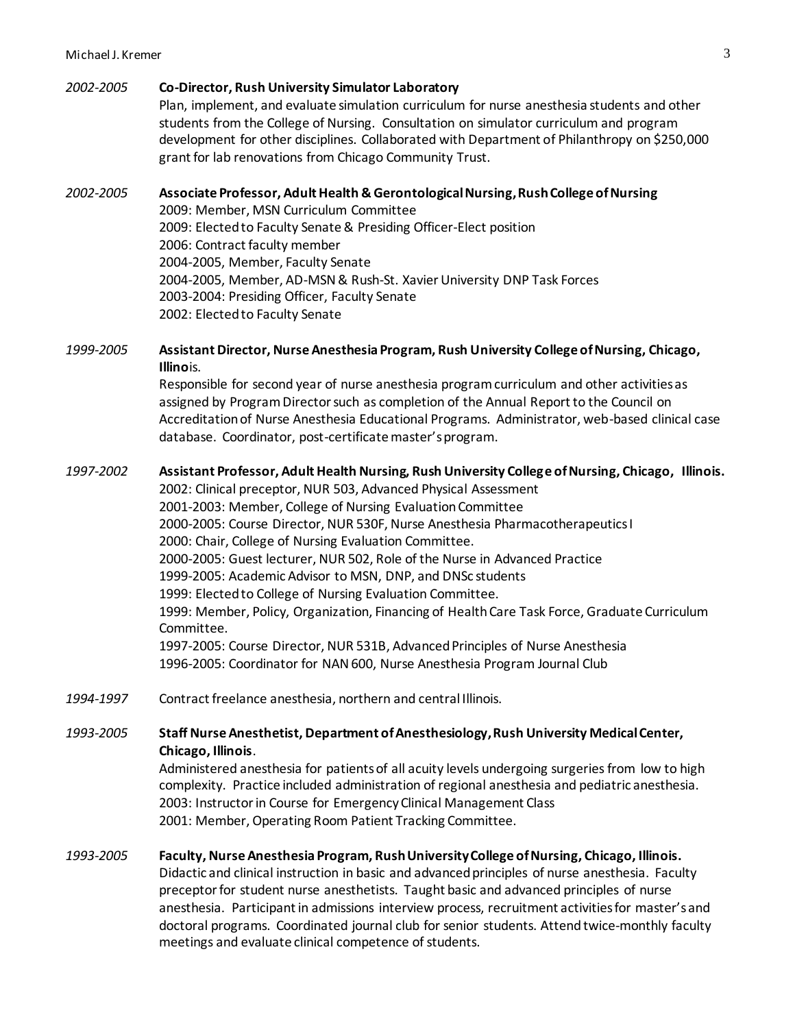### *2002-2005* **Co-Director, Rush University Simulator Laboratory**

Plan, implement, and evaluate simulation curriculum for nurse anesthesia students and other students from the College of Nursing. Consultation on simulator curriculum and program development for other disciplines. Collaborated with Department of Philanthropy on \$250,000 grant for lab renovations from Chicago Community Trust.

# *2002-2005* **Associate Professor, Adult Health & Gerontological Nursing, Rush College of Nursing** 2009: Member, MSN Curriculum Committee 2009: Elected to Faculty Senate & Presiding Officer-Elect position 2006: Contract faculty member 2004-2005, Member, Faculty Senate 2004-2005, Member, AD-MSN & Rush-St. Xavier University DNP Task Forces 2003-2004: Presiding Officer, Faculty Senate 2002: Elected to Faculty Senate

# *1999-2005* **Assistant Director, Nurse Anesthesia Program, Rush University College of Nursing, Chicago, Illino**is.

Responsible for second year of nurse anesthesia program curriculum and other activities as assigned by Program Director such as completion of the Annual Report to the Council on Accreditation of Nurse Anesthesia Educational Programs. Administrator, web-based clinical case database. Coordinator, post-certificate master's program.

# *1997*-*2002* **Assistant Professor, Adult Health Nursing, Rush University College of Nursing, Chicago, Illinois.**

2002: Clinical preceptor, NUR 503, Advanced Physical Assessment 2001-2003: Member, College of Nursing Evaluation Committee 2000-2005: Course Director, NUR 530F, Nurse Anesthesia Pharmacotherapeutics I 2000: Chair, College of Nursing Evaluation Committee. 2000-2005: Guest lecturer, NUR 502, Role of the Nurse in Advanced Practice 1999-2005: Academic Advisor to MSN, DNP, and DNSc students 1999: Elected to College of Nursing Evaluation Committee. 1999: Member, Policy, Organization, Financing of Health Care Task Force, Graduate Curriculum Committee. 1997-2005: Course Director, NUR 531B, Advanced Principles of Nurse Anesthesia 1996-2005: Coordinator for NAN 600, Nurse Anesthesia Program Journal Club

*1994-1997* Contract freelance anesthesia, northern and central Illinois.

# *1993-2005* **Staff Nurse Anesthetist, Department of Anesthesiology, Rush University Medical Center, Chicago, Illinois**.

Administered anesthesia for patients of all acuity levels undergoing surgeries from low to high complexity. Practice included administration of regional anesthesia and pediatric anesthesia. 2003: Instructor in Course for Emergency Clinical Management Class 2001: Member, Operating Room Patient Tracking Committee.

# *1993-2005* **Faculty, Nurse Anesthesia Program, Rush University College of Nursing, Chicago, Illinois.** Didactic and clinical instruction in basic and advanced principles of nurse anesthesia. Faculty preceptor for student nurse anesthetists. Taught basic and advanced principles of nurse anesthesia. Participant in admissions interview process, recruitment activities for master's and doctoral programs. Coordinated journal club for senior students. Attend twice-monthly faculty meetings and evaluate clinical competence of students.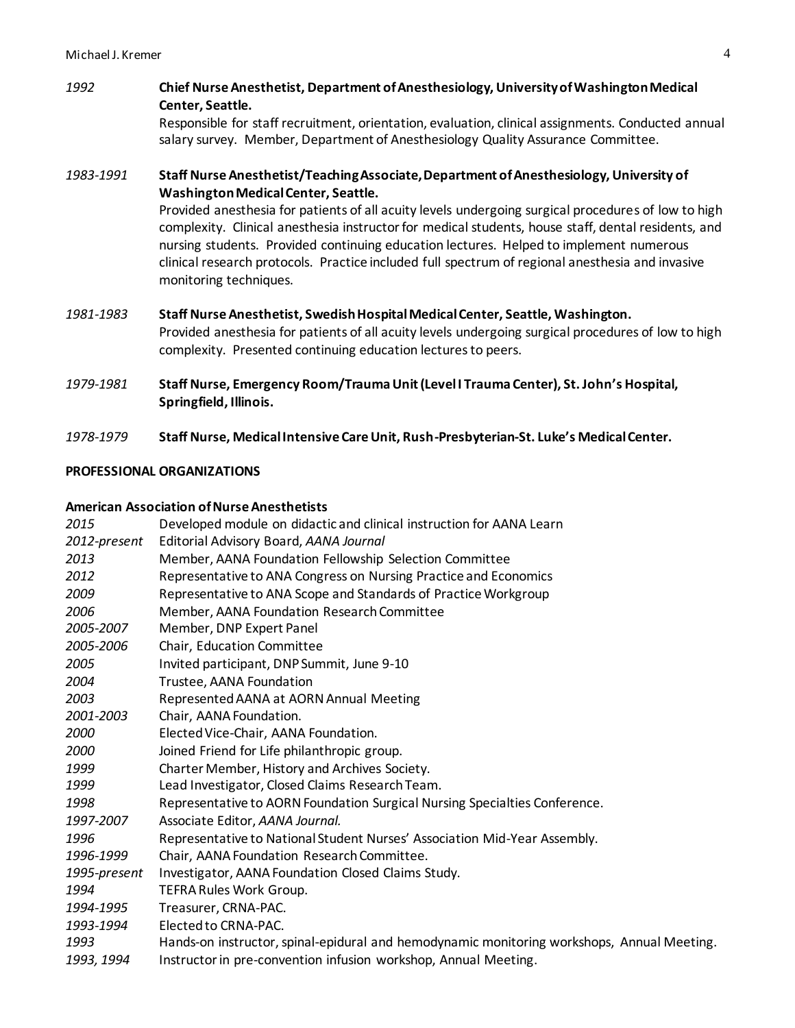# *1992* **Chief Nurse Anesthetist, Department of Anesthesiology, University of Washington Medical Center, Seattle.**

Responsible for staff recruitment, orientation, evaluation, clinical assignments. Conducted annual salary survey. Member, Department of Anesthesiology Quality Assurance Committee.

# *1983-1991* **Staff Nurse Anesthetist/Teaching Associate, Department of Anesthesiology, University of Washington Medical Center, Seattle.**

Provided anesthesia for patients of all acuity levels undergoing surgical procedures of low to high complexity. Clinical anesthesia instructor for medical students, house staff, dental residents, and nursing students. Provided continuing education lectures. Helped to implement numerous clinical research protocols. Practice included full spectrum of regional anesthesia and invasive monitoring techniques.

- *1981-1983* **Staff Nurse Anesthetist, Swedish Hospital Medical Center, Seattle, Washington.** Provided anesthesia for patients of all acuity levels undergoing surgical procedures of low to high complexity. Presented continuing education lectures to peers.
- *1979-1981* **Staff Nurse, Emergency Room/Trauma Unit (Level I Trauma Center), St. John's Hospital, Springfield, Illinois.**
- *1978-1979* **Staff Nurse, Medical Intensive Care Unit, Rush-Presbyterian-St. Luke's Medical Center.**

# **PROFESSIONAL ORGANIZATIONS**

### **American Association of Nurse Anesthetists**

| 2015         | Developed module on didactic and clinical instruction for AANA Learn                       |
|--------------|--------------------------------------------------------------------------------------------|
| 2012-present | Editorial Advisory Board, AANA Journal                                                     |
| 2013         | Member, AANA Foundation Fellowship Selection Committee                                     |
| 2012         | Representative to ANA Congress on Nursing Practice and Economics                           |
| 2009         | Representative to ANA Scope and Standards of Practice Workgroup                            |
| 2006         | Member, AANA Foundation Research Committee                                                 |
| 2005-2007    | Member, DNP Expert Panel                                                                   |
| 2005-2006    | Chair, Education Committee                                                                 |
| 2005         | Invited participant, DNP Summit, June 9-10                                                 |
| 2004         | Trustee, AANA Foundation                                                                   |
| 2003         | Represented AANA at AORN Annual Meeting                                                    |
| 2001-2003    | Chair, AANA Foundation.                                                                    |
| 2000         | Elected Vice-Chair, AANA Foundation.                                                       |
| 2000         | Joined Friend for Life philanthropic group.                                                |
| 1999         | Charter Member, History and Archives Society.                                              |
| 1999         | Lead Investigator, Closed Claims Research Team.                                            |
| 1998         | Representative to AORN Foundation Surgical Nursing Specialties Conference.                 |
| 1997-2007    | Associate Editor, AANA Journal.                                                            |
| 1996         | Representative to National Student Nurses' Association Mid-Year Assembly.                  |
| 1996-1999    | Chair, AANA Foundation Research Committee.                                                 |
| 1995-present | Investigator, AANA Foundation Closed Claims Study.                                         |
| 1994         | <b>TEFRA Rules Work Group.</b>                                                             |
| 1994-1995    | Treasurer, CRNA-PAC.                                                                       |
| 1993-1994    | Elected to CRNA-PAC.                                                                       |
| 1993         | Hands-on instructor, spinal-epidural and hemodynamic monitoring workshops, Annual Meeting. |
| 1993, 1994   | Instructor in pre-convention infusion workshop, Annual Meeting.                            |
|              |                                                                                            |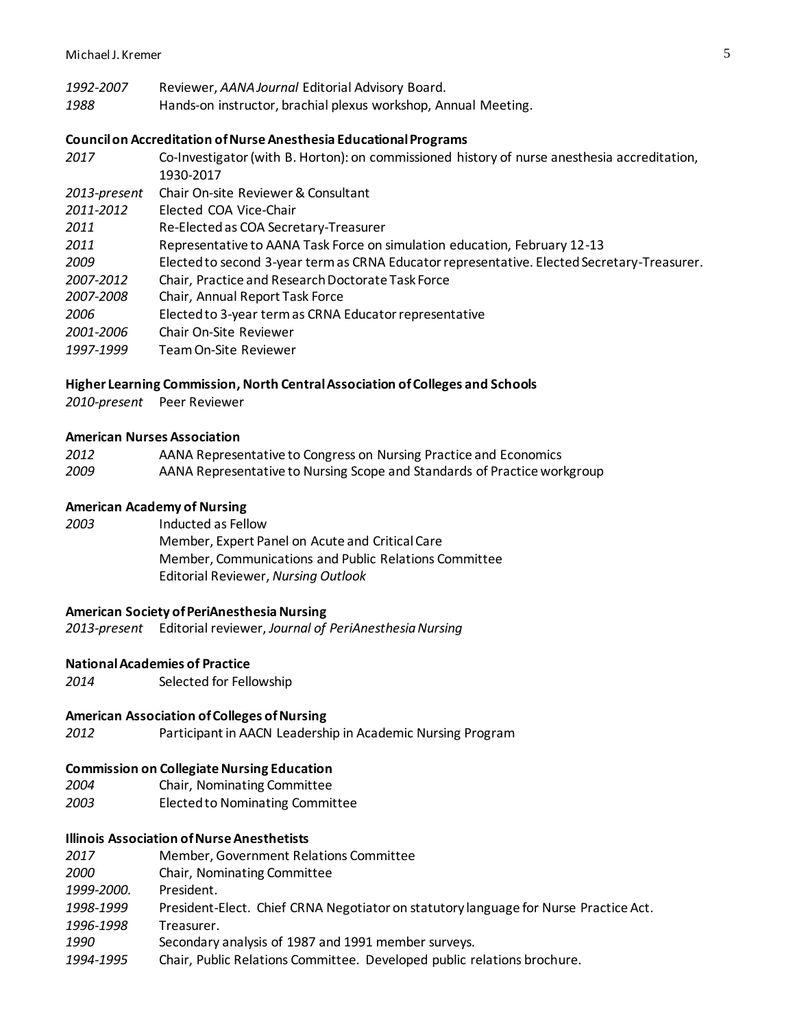- *1992-2007* Reviewer, *AANA Journal* Editorial Advisory Board.
- *1988* Hands-on instructor, brachial plexus workshop, Annual Meeting.

#### **Council on Accreditation of Nurse Anesthesia Educational Programs**

*2017* Co-Investigator (with B. Horton): on commissioned history of nurse anesthesia accreditation, 1930-2017 *2013-present* Chair On-site Reviewer& Consultant *2011-2012* Elected COA Vice-Chair *2011* Re-Elected as COA Secretary-Treasurer *2011* Representative to AANA Task Force on simulation education, February 12-13 *2009* Elected to second 3-year term as CRNA Educator representative. Elected Secretary-Treasurer. *2007-2012* Chair, Practice and Research Doctorate Task Force *2007-2008* Chair, Annual Report Task Force *2006* Elected to 3-year term as CRNA Educator representative *2001-2006* Chair On-Site Reviewer *1997-1999* Team On-Site Reviewer

#### **Higher Learning Commission, North Central Association of Colleges and Schools**

*2010-present* Peer Reviewer

#### **American Nurses Association**

| 2012 | AANA Representative to Congress on Nursing Practice and Economics        |
|------|--------------------------------------------------------------------------|
| 2009 | AANA Representative to Nursing Scope and Standards of Practice workgroup |

#### **American Academy of Nursing**

*2003* Inducted as Fellow Member, Expert Panel on Acute and Critical Care Member, Communications and Public Relations Committee

# **American Society of PeriAnesthesia Nursing**

*2013-present* Editorial reviewer, *Journal of PeriAnesthesia Nursing*

Editorial Reviewer, *Nursing Outlook*

#### **National Academies of Practice**

*2014* Selected for Fellowship

#### **American Association of Colleges of Nursing**

*2012* Participant in AACN Leadership in Academic Nursing Program

# **Commission on Collegiate Nursing Education**

- *2004* Chair, Nominating Committee
- *2003* Elected to Nominating Committee

# **Illinois Association of Nurse Anesthetists**

- *2017* Member, Government Relations Committee
- *2000* Chair, Nominating Committee
- *1999-2000.* President.
- *1998-1999* President-Elect. Chief CRNA Negotiator on statutory language for Nurse Practice Act.
- *1996-1998* Treasurer.
- *1990* Secondary analysis of 1987 and 1991 member surveys.
- *1994-1995* Chair, Public Relations Committee. Developed public relations brochure.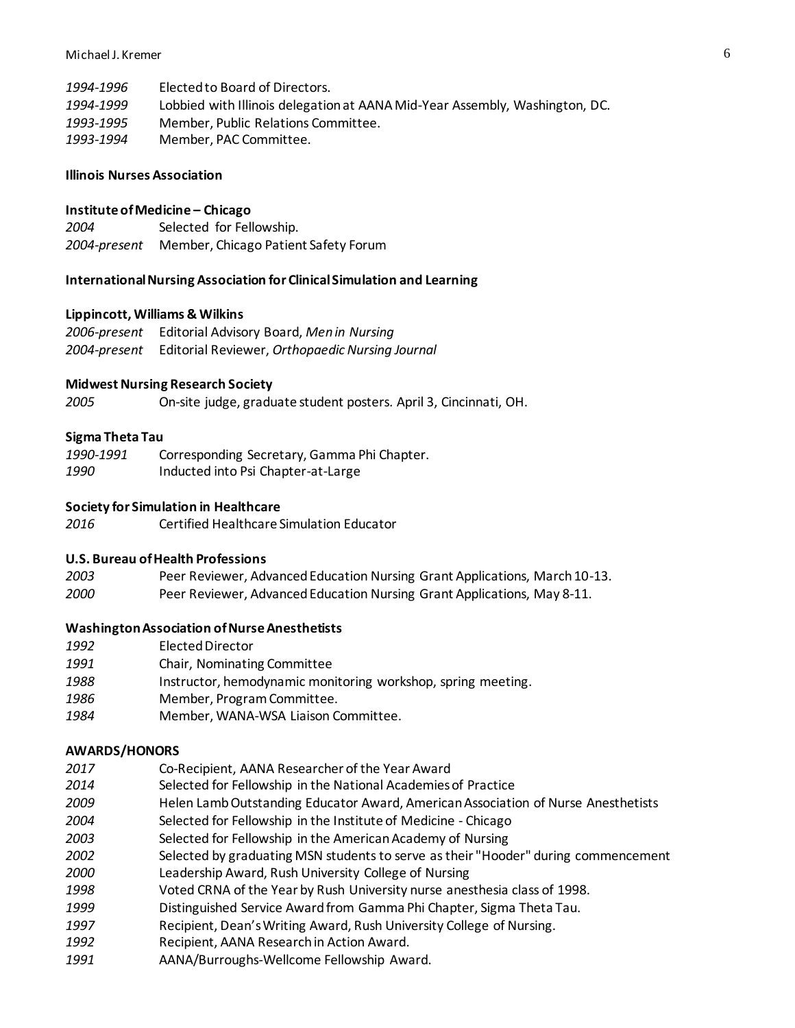*1994-1996* Elected to Board of Directors. *1994-1999* Lobbied with Illinois delegation at AANA Mid-Year Assembly, Washington, DC. *1993-1995* Member, Public Relations Committee. *1993-1994* Member, PAC Committee.

#### **Illinois Nurses Association**

#### **Institute of Medicine – Chicago**

*2004* Selected for Fellowship. *2004-present* Member, Chicago Patient Safety Forum

#### **International Nursing Association for Clinical Simulation and Learning**

#### **Lippincott, Williams & Wilkins**

*2006-present* Editorial Advisory Board, *Men in Nursing 2004-present* Editorial Reviewer, *Orthopaedic Nursing Journal*

#### **Midwest Nursing Research Society**

*2005* On-site judge, graduate student posters. April 3, Cincinnati, OH.

#### **Sigma Theta Tau**

| 1990-1991 | Corresponding Secretary, Gamma Phi Chapter. |
|-----------|---------------------------------------------|
| 1990      | Inducted into Psi Chapter-at-Large          |

### **Society for Simulation in Healthcare**

*2016* Certified Healthcare Simulation Educator

#### **U.S. Bureau of Health Professions**

*2003* Peer Reviewer, Advanced Education Nursing Grant Applications, March 10-13. *2000* Peer Reviewer, Advanced Education Nursing Grant Applications, May 8-11.

#### **Washington Association of Nurse Anesthetists**

- *1992* Elected Director
- *1991* Chair, Nominating Committee
- 1988 Instructor, hemodynamic monitoring workshop, spring meeting.
- *1986* Member, Program Committee.
- *1984* Member, WANA-WSA Liaison Committee.

#### **AWARDS/HONORS**

- *2017* Co-Recipient, AANA Researcher of the Year Award
- *2014* Selected for Fellowship in the National Academies of Practice
- *2009* Helen Lamb Outstanding Educator Award, American Association of Nurse Anesthetists
- *2004* Selected for Fellowship in the Institute of Medicine Chicago
- *2003* Selected for Fellowship in the American Academy of Nursing
- *2002* Selected by graduating MSN students to serve as their "Hooder" during commencement
- *2000* Leadership Award, Rush University College of Nursing
- *1998* Voted CRNA of the Year by Rush University nurse anesthesia class of 1998.
- *1999* Distinguished Service Award from Gamma Phi Chapter, Sigma Theta Tau.
- *1997* Recipient, Dean's Writing Award, Rush University College of Nursing.
- *1992* Recipient, AANA Research in Action Award.
- *1991* AANA/Burroughs-Wellcome Fellowship Award.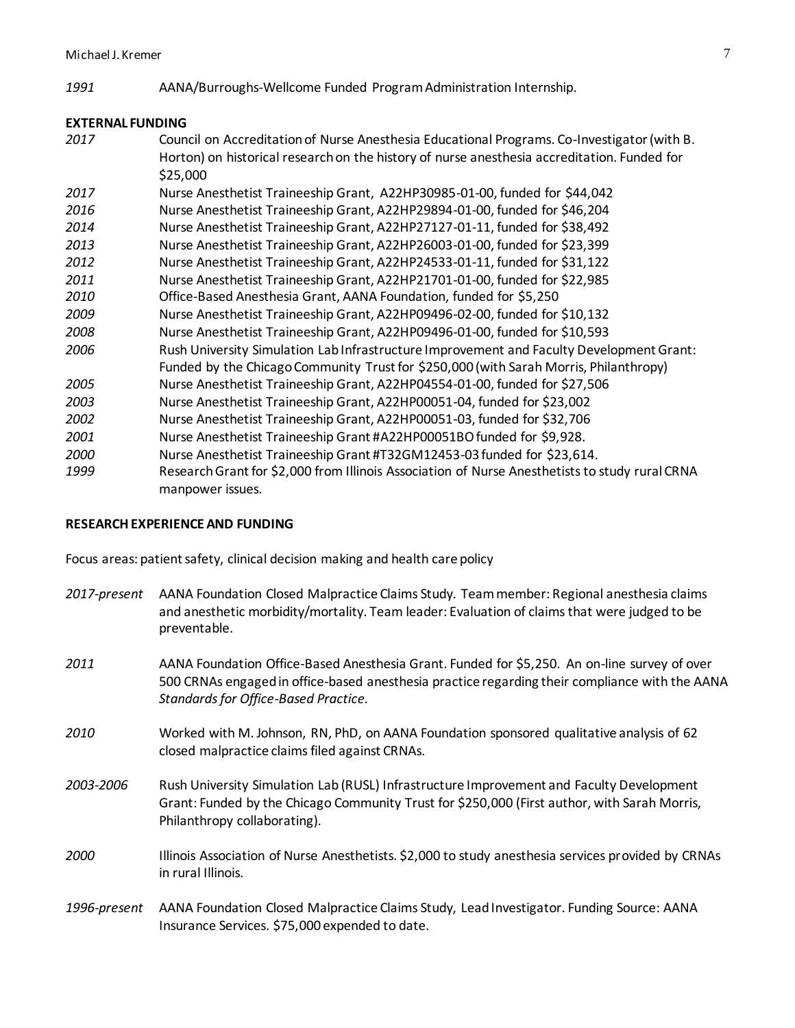*1991* AANA/Burroughs-Wellcome Funded Program Administration Internship.

### **EXTERNAL FUNDING**

 Council on Accreditation of Nurse Anesthesia Educational Programs. Co-Investigator (with B. Horton) on historical research on the history of nurse anesthesia accreditation. Funded for \$25,000 Nurse Anesthetist Traineeship Grant, A22HP30985-01-00, funded for \$44,042 Nurse Anesthetist Traineeship Grant, A22HP29894-01-00, funded for \$46,204 Nurse Anesthetist Traineeship Grant, A22HP27127-01-11, funded for \$38,492 Nurse Anesthetist Traineeship Grant, A22HP26003-01-00, funded for \$23,399 Nurse Anesthetist Traineeship Grant, A22HP24533-01-11, funded for \$31,122 Nurse Anesthetist Traineeship Grant, A22HP21701-01-00, funded for \$22,985 Office-Based Anesthesia Grant, AANA Foundation, funded for \$5,250 Nurse Anesthetist Traineeship Grant, A22HP09496-02-00, funded for \$10,132 Nurse Anesthetist Traineeship Grant, A22HP09496-01-00, funded for \$10,593 Rush University Simulation Lab Infrastructure Improvement and Faculty Development Grant: Funded by the Chicago Community Trust for \$250,000 (with Sarah Morris, Philanthropy) Nurse Anesthetist Traineeship Grant, A22HP04554-01-00, funded for \$27,506 Nurse Anesthetist Traineeship Grant, A22HP00051-04, funded for \$23,002 Nurse Anesthetist Traineeship Grant, A22HP00051-03, funded for \$32,706 Nurse Anesthetist Traineeship Grant #A22HP00051BO funded for \$9,928. Nurse Anesthetist Traineeship Grant #T32GM12453-03 funded for \$23,614. Research Grant for \$2,000 from Illinois Association of Nurse Anesthetists to study rural CRNA manpower issues.

### **RESEARCH EXPERIENCE AND FUNDING**

Focus areas: patient safety, clinical decision making and health care policy

- *2017-present* AANA Foundation Closed Malpractice Claims Study. Team member: Regional anesthesia claims and anesthetic morbidity/mortality. Team leader: Evaluation of claims that were judged to be preventable.
- *2011* AANA Foundation Office-Based Anesthesia Grant. Funded for \$5,250. An on-line survey of over 500 CRNAs engaged in office-based anesthesia practice regarding their compliance with the AANA *Standards for Office-Based Practice.*
- *2010* Worked with M. Johnson, RN, PhD, on AANA Foundation sponsored qualitative analysis of 62 closed malpractice claims filed against CRNAs.
- *2003-2006* Rush University Simulation Lab (RUSL) Infrastructure Improvement and Faculty Development Grant: Funded by the Chicago Community Trust for \$250,000 (First author, with Sarah Morris, Philanthropy collaborating).
- *2000* Illinois Association of Nurse Anesthetists. \$2,000 to study anesthesia services provided by CRNAs in rural Illinois.
- *1996-present* AANA Foundation Closed Malpractice Claims Study, Lead Investigator. Funding Source: AANA Insurance Services. \$75,000 expended to date.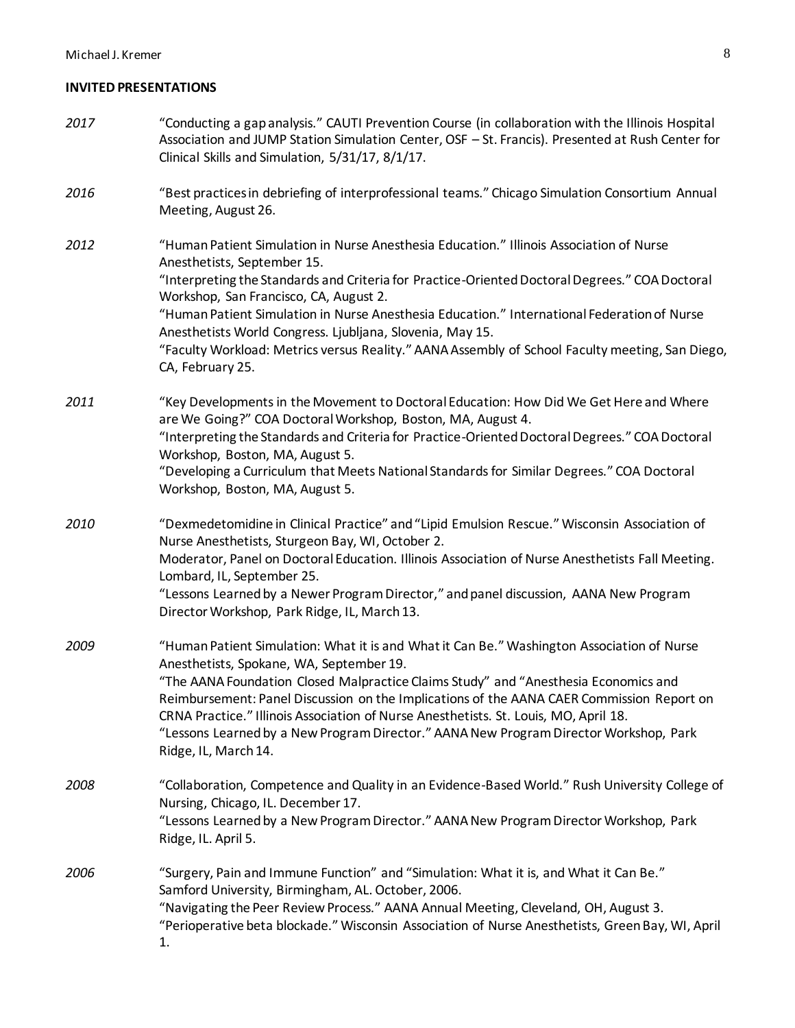#### **INVITED PRESENTATIONS**

- *2017* "Conducting a gap analysis." CAUTI Prevention Course (in collaboration with the Illinois Hospital Association and JUMP Station Simulation Center, OSF – St. Francis). Presented at Rush Center for Clinical Skills and Simulation, 5/31/17, 8/1/17.
- *2016* "Best practices in debriefing of interprofessional teams." Chicago Simulation Consortium Annual Meeting, August 26.
- *2012* "Human Patient Simulation in Nurse Anesthesia Education." Illinois Association of Nurse Anesthetists, September 15. "Interpreting the Standards and Criteria for Practice-Oriented Doctoral Degrees." COA Doctoral Workshop, San Francisco, CA, August 2. "Human Patient Simulation in Nurse Anesthesia Education." International Federation of Nurse Anesthetists World Congress. Ljubljana, Slovenia, May 15. "Faculty Workload: Metrics versus Reality." AANA Assembly of School Faculty meeting, San Diego,
	- CA, February 25.
- *2011* "Key Developments in the Movement to Doctoral Education: How Did We Get Here and Where are We Going?" COA Doctoral Workshop, Boston, MA, August 4. "Interpreting the Standards and Criteria for Practice-Oriented Doctoral Degrees." COA Doctoral Workshop, Boston, MA, August 5.
	- "Developing a Curriculum that Meets National Standards for Similar Degrees." COA Doctoral Workshop, Boston, MA, August 5.
- *2010* "Dexmedetomidine in Clinical Practice" and "Lipid Emulsion Rescue." Wisconsin Association of Nurse Anesthetists, Sturgeon Bay, WI, October 2. Moderator, Panel on Doctoral Education. Illinois Association of Nurse Anesthetists Fall Meeting. Lombard, IL, September 25. "Lessons Learned by a Newer Program Director," and panel discussion, AANA New Program Director Workshop, Park Ridge, IL, March 13.
- *2009* "Human Patient Simulation: What it is and What it Can Be." Washington Association of Nurse Anesthetists, Spokane, WA, September 19. "The AANA Foundation Closed Malpractice Claims Study" and "Anesthesia Economics and Reimbursement: Panel Discussion on the Implications of the AANA CAER Commission Report on CRNA Practice." Illinois Association of Nurse Anesthetists. St. Louis, MO, April 18. "Lessons Learned by a New Program Director." AANA New Program Director Workshop, Park Ridge, IL, March 14.
- *2008* "Collaboration, Competence and Quality in an Evidence-Based World." Rush University College of Nursing, Chicago, IL. December 17. "Lessons Learned by a New Program Director." AANA New Program Director Workshop, Park Ridge, IL. April 5.
- *2006* "Surgery, Pain and Immune Function" and "Simulation: What it is, and What it Can Be." Samford University, Birmingham, AL. October, 2006. "Navigating the Peer Review Process." AANA Annual Meeting, Cleveland, OH, August 3. "Perioperative beta blockade." Wisconsin Association of Nurse Anesthetists, Green Bay, WI, April 1.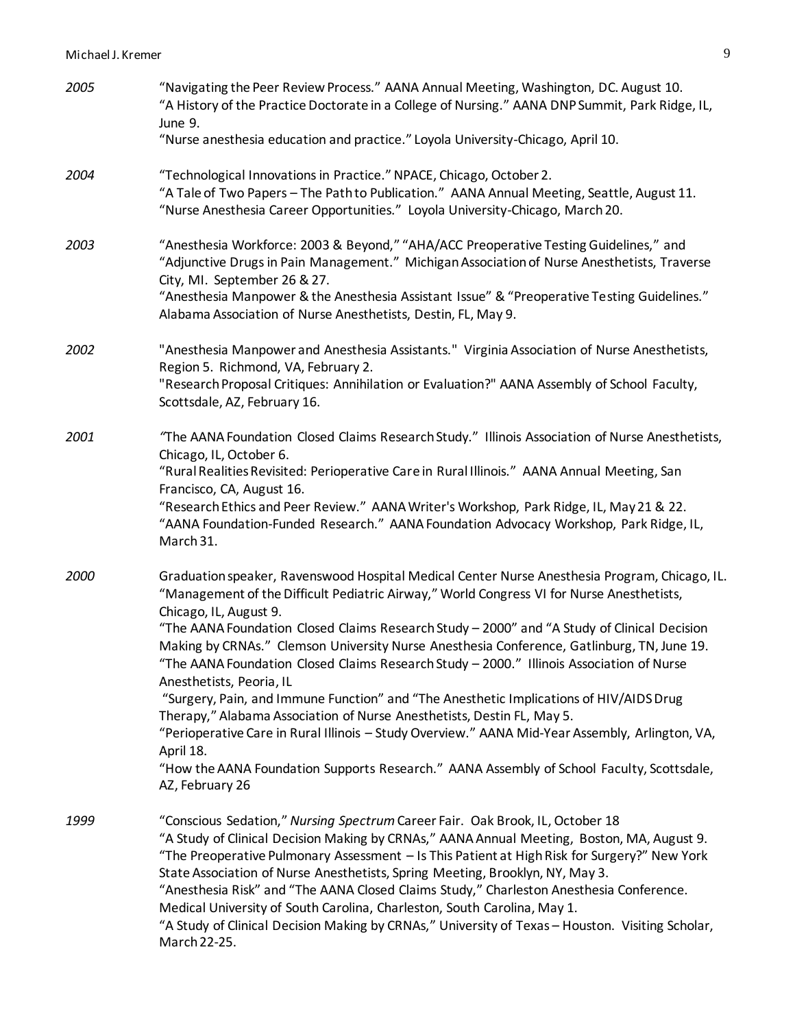| 2005 | "Navigating the Peer Review Process." AANA Annual Meeting, Washington, DC. August 10.<br>"A History of the Practice Doctorate in a College of Nursing." AANA DNP Summit, Park Ridge, IL,<br>June 9.                                                                                                                                                                                                                                                                                                                                                                                                                                                     |
|------|---------------------------------------------------------------------------------------------------------------------------------------------------------------------------------------------------------------------------------------------------------------------------------------------------------------------------------------------------------------------------------------------------------------------------------------------------------------------------------------------------------------------------------------------------------------------------------------------------------------------------------------------------------|
|      | "Nurse anesthesia education and practice." Loyola University-Chicago, April 10.                                                                                                                                                                                                                                                                                                                                                                                                                                                                                                                                                                         |
| 2004 | "Technological Innovations in Practice." NPACE, Chicago, October 2.<br>"A Tale of Two Papers - The Path to Publication." AANA Annual Meeting, Seattle, August 11.<br>"Nurse Anesthesia Career Opportunities." Loyola University-Chicago, March 20.                                                                                                                                                                                                                                                                                                                                                                                                      |
| 2003 | "Anesthesia Workforce: 2003 & Beyond," "AHA/ACC Preoperative Testing Guidelines," and<br>"Adjunctive Drugs in Pain Management." Michigan Association of Nurse Anesthetists, Traverse<br>City, MI. September 26 & 27.<br>"Anesthesia Manpower & the Anesthesia Assistant Issue" & "Preoperative Testing Guidelines."<br>Alabama Association of Nurse Anesthetists, Destin, FL, May 9.                                                                                                                                                                                                                                                                    |
|      |                                                                                                                                                                                                                                                                                                                                                                                                                                                                                                                                                                                                                                                         |
| 2002 | "Anesthesia Manpower and Anesthesia Assistants." Virginia Association of Nurse Anesthetists,<br>Region 5. Richmond, VA, February 2.                                                                                                                                                                                                                                                                                                                                                                                                                                                                                                                     |
|      | "Research Proposal Critiques: Annihilation or Evaluation?" AANA Assembly of School Faculty,<br>Scottsdale, AZ, February 16.                                                                                                                                                                                                                                                                                                                                                                                                                                                                                                                             |
| 2001 | "The AANA Foundation Closed Claims Research Study." Illinois Association of Nurse Anesthetists,<br>Chicago, IL, October 6.                                                                                                                                                                                                                                                                                                                                                                                                                                                                                                                              |
|      | "Rural Realities Revisited: Perioperative Care in Rural Illinois." AANA Annual Meeting, San<br>Francisco, CA, August 16.                                                                                                                                                                                                                                                                                                                                                                                                                                                                                                                                |
|      | "Research Ethics and Peer Review." AANA Writer's Workshop, Park Ridge, IL, May 21 & 22.<br>"AANA Foundation-Funded Research." AANA Foundation Advocacy Workshop, Park Ridge, IL,<br>March 31.                                                                                                                                                                                                                                                                                                                                                                                                                                                           |
| 2000 | Graduation speaker, Ravenswood Hospital Medical Center Nurse Anesthesia Program, Chicago, IL.<br>"Management of the Difficult Pediatric Airway," World Congress VI for Nurse Anesthetists,<br>Chicago, IL, August 9.                                                                                                                                                                                                                                                                                                                                                                                                                                    |
|      | "The AANA Foundation Closed Claims Research Study - 2000" and "A Study of Clinical Decision<br>Making by CRNAs." Clemson University Nurse Anesthesia Conference, Gatlinburg, TN, June 19.<br>The AANA Foundation Closed Claims Research Study – 2000." Illinois Association of Nurse                                                                                                                                                                                                                                                                                                                                                                    |
|      | Anesthetists, Peoria, IL<br>"Surgery, Pain, and Immune Function" and "The Anesthetic Implications of HIV/AIDS Drug                                                                                                                                                                                                                                                                                                                                                                                                                                                                                                                                      |
|      | Therapy," Alabama Association of Nurse Anesthetists, Destin FL, May 5.<br>"Perioperative Care in Rural Illinois - Study Overview." AANA Mid-Year Assembly, Arlington, VA,                                                                                                                                                                                                                                                                                                                                                                                                                                                                               |
|      | April 18.<br>"How the AANA Foundation Supports Research." AANA Assembly of School Faculty, Scottsdale,<br>AZ, February 26                                                                                                                                                                                                                                                                                                                                                                                                                                                                                                                               |
| 1999 | "Conscious Sedation," Nursing Spectrum Career Fair. Oak Brook, IL, October 18<br>"A Study of Clinical Decision Making by CRNAs," AANA Annual Meeting, Boston, MA, August 9.<br>"The Preoperative Pulmonary Assessment - Is This Patient at High Risk for Surgery?" New York<br>State Association of Nurse Anesthetists, Spring Meeting, Brooklyn, NY, May 3.<br>"Anesthesia Risk" and "The AANA Closed Claims Study," Charleston Anesthesia Conference.<br>Medical University of South Carolina, Charleston, South Carolina, May 1.<br>"A Study of Clinical Decision Making by CRNAs," University of Texas - Houston. Visiting Scholar,<br>March 22-25. |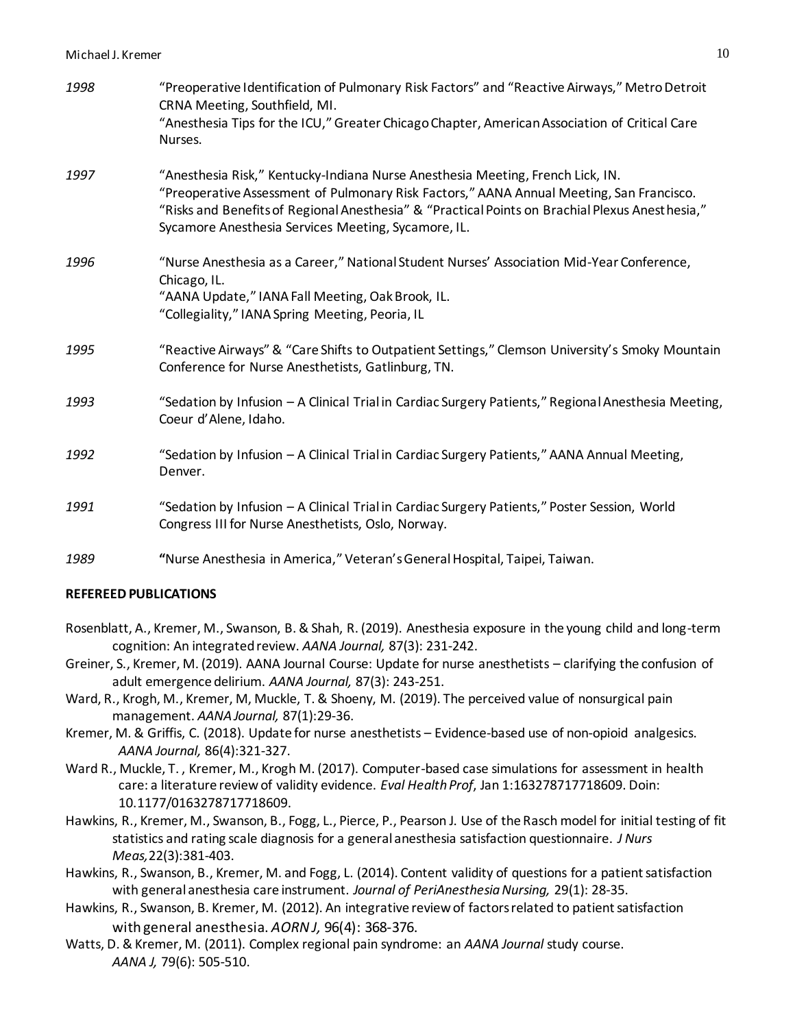| 1998 | "Preoperative Identification of Pulmonary Risk Factors" and "Reactive Airways," Metro Detroit<br>CRNA Meeting, Southfield, MI.<br>"Anesthesia Tips for the ICU," Greater Chicago Chapter, American Association of Critical Care<br>Nurses.                                                                                           |
|------|--------------------------------------------------------------------------------------------------------------------------------------------------------------------------------------------------------------------------------------------------------------------------------------------------------------------------------------|
| 1997 | "Anesthesia Risk," Kentucky-Indiana Nurse Anesthesia Meeting, French Lick, IN.<br>"Preoperative Assessment of Pulmonary Risk Factors," AANA Annual Meeting, San Francisco.<br>"Risks and Benefits of Regional Anesthesia" & "Practical Points on Brachial Plexus Anesthesia,"<br>Sycamore Anesthesia Services Meeting, Sycamore, IL. |
| 1996 | "Nurse Anesthesia as a Career," National Student Nurses' Association Mid-Year Conference,<br>Chicago, IL.<br>"AANA Update," IANA Fall Meeting, Oak Brook, IL.<br>"Collegiality," IANA Spring Meeting, Peoria, IL                                                                                                                     |
| 1995 | "Reactive Airways" & "Care Shifts to Outpatient Settings," Clemson University's Smoky Mountain<br>Conference for Nurse Anesthetists, Gatlinburg, TN.                                                                                                                                                                                 |
| 1993 | "Sedation by Infusion - A Clinical Trial in Cardiac Surgery Patients," Regional Anesthesia Meeting,<br>Coeur d'Alene, Idaho.                                                                                                                                                                                                         |
| 1992 | "Sedation by Infusion - A Clinical Trial in Cardiac Surgery Patients," AANA Annual Meeting,<br>Denver.                                                                                                                                                                                                                               |
| 1991 | "Sedation by Infusion - A Clinical Trial in Cardiac Surgery Patients," Poster Session, World<br>Congress III for Nurse Anesthetists, Oslo, Norway.                                                                                                                                                                                   |
| 1989 | "Nurse Anesthesia in America," Veteran's General Hospital, Taipei, Taiwan.                                                                                                                                                                                                                                                           |

### **REFEREED PUBLICATIONS**

- Rosenblatt, A., Kremer, M., Swanson, B. & Shah, R. (2019). Anesthesia exposure in the young child and long-term cognition: An integrated review. *AANA Journal,* 87(3): 231-242.
- Greiner, S., Kremer, M. (2019). AANA Journal Course: Update for nurse anesthetists clarifying the confusion of adult emergence delirium. *AANA Journal,* 87(3): 243-251.
- Ward, R., Krogh, M., Kremer, M, Muckle, T. & Shoeny, M. (2019). The perceived value of nonsurgical pain management. *AANA Journal,* 87(1):29-36.
- Kremer, M. & Griffis, C. (2018). Update for nurse anesthetists Evidence-based use of non-opioid analgesics. *AANA Journal,* 86(4):321-327.
- Ward R., Muckle, T., Kremer, M., Krogh M. (2017). Computer-based case simulations for assessment in health care: a literature review of validity evidence. *Eval Health Prof*, Jan 1:163278717718609. Doin: 10.1177/0163278717718609.
- Hawkins, R., Kremer, M., Swanson, B., Fogg, L., Pierce, P., Pearson J. Use of the Rasch model for initial testing of fit statistics and rating scale diagnosis for a general anesthesia satisfaction questionnaire. *J Nurs Meas,*22(3):381-403.
- Hawkins, R., Swanson, B., Kremer, M. and Fogg, L. (2014). Content validity of questions for a patient satisfaction with general anesthesia care instrument. *Journal of PeriAnesthesia Nursing,* 29(1): 28-35.
- Hawkins, R., Swanson, B. Kremer, M. (2012). An integrative review of factors related to patient satisfaction with general anesthesia. *AORN J,* 96(4): 368-376.
- Watts, D. & Kremer, M. (2011). Complex regional pain syndrome: an *AANA Journal* study course. *AANA J,* 79(6): 505-510.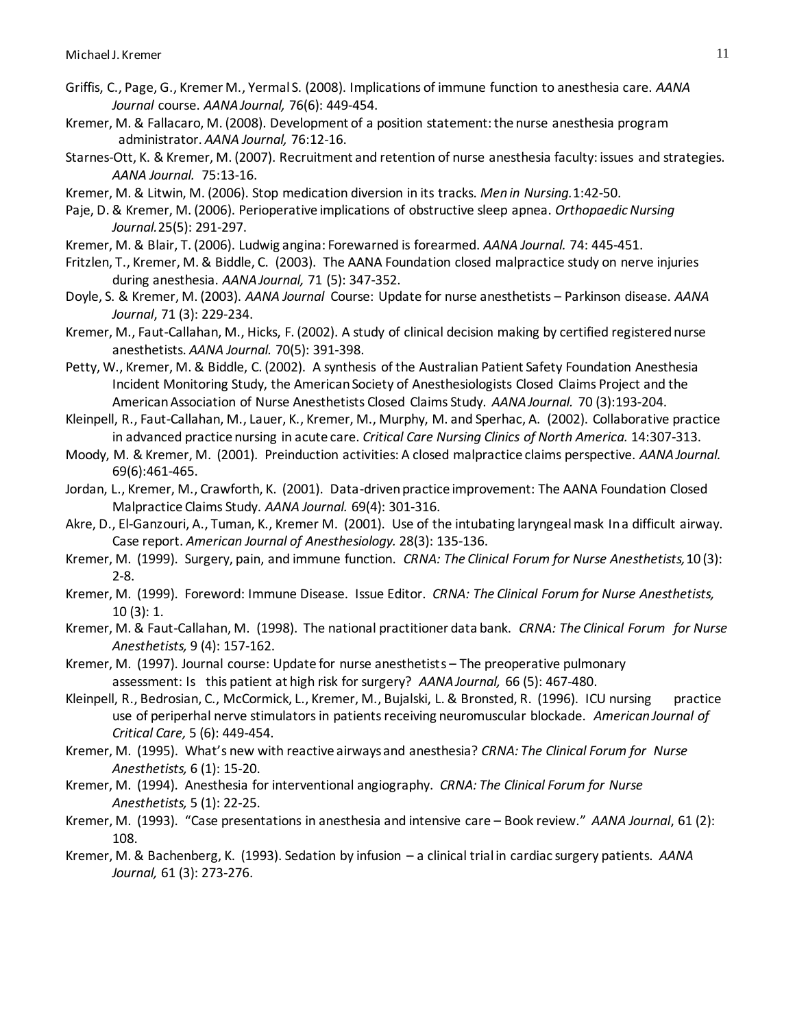- Griffis, C., Page, G., Kremer M., Yermal S. (2008). Implications of immune function to anesthesia care. *AANA Journal* course. *AANA Journal,* 76(6): 449-454.
- Kremer, M. & Fallacaro, M. (2008). Development of a position statement: the nurse anesthesia program administrator. *AANA Journal,* 76:12-16.
- Starnes-Ott, K. & Kremer, M. (2007). Recruitment and retention of nurse anesthesia faculty: issues and strategies. *AANA Journal.* 75:13-16.
- Kremer, M. & Litwin, M. (2006). Stop medication diversion in its tracks. *Men in Nursing.*1:42-50.
- Paje, D. & Kremer, M. (2006). Perioperative implications of obstructive sleep apnea. *Orthopaedic Nursing Journal.*25(5): 291-297.
- Kremer, M. & Blair, T. (2006). Ludwig angina: Forewarned is forearmed. *AANA Journal.* 74: 445-451.
- Fritzlen, T., Kremer, M. & Biddle, C. (2003). The AANA Foundation closed malpractice study on nerve injuries during anesthesia. *AANA Journal,* 71 (5): 347-352.
- Doyle, S. & Kremer, M. (2003). *AANA Journal* Course: Update for nurse anesthetists Parkinson disease. *AANA Journal*, 71 (3): 229-234.
- Kremer, M., Faut-Callahan, M., Hicks, F. (2002). A study of clinical decision making by certified registered nurse anesthetists. *AANA Journal.* 70(5): 391-398.
- Petty, W., Kremer, M. & Biddle, C. (2002). A synthesis of the Australian Patient Safety Foundation Anesthesia Incident Monitoring Study, the American Society of Anesthesiologists Closed Claims Project and the American Association of Nurse Anesthetists Closed Claims Study. *AANA Journal.* 70 (3):193-204.
- Kleinpell, R., Faut-Callahan, M., Lauer, K., Kremer, M., Murphy, M. and Sperhac, A. (2002). Collaborative practice in advanced practice nursing in acute care. *Critical Care Nursing Clinics of North America.* 14:307-313.
- Moody, M. & Kremer, M. (2001). Preinduction activities: A closed malpractice claims perspective. *AANA Journal.*  69(6):461-465.
- Jordan, L., Kremer, M., Crawforth, K. (2001). Data-driven practice improvement: The AANA Foundation Closed Malpractice Claims Study. *AANA Journal.* 69(4): 301-316.
- Akre, D., El-Ganzouri, A., Tuman, K., Kremer M. (2001). Use of the intubating laryngeal mask In a difficult airway. Case report. *American Journal of Anesthesiology.* 28(3): 135-136.
- Kremer, M. (1999). Surgery, pain, and immune function. *CRNA: The Clinical Forum for Nurse Anesthetists,*10 (3): 2-8.
- Kremer, M. (1999). Foreword: Immune Disease. Issue Editor. *CRNA: The Clinical Forum for Nurse Anesthetists,*  10 (3): 1.
- Kremer, M. & Faut-Callahan, M. (1998). The national practitioner data bank. *CRNA: The Clinical Forum for Nurse Anesthetists,* 9 (4): 157-162.
- Kremer, M. (1997). Journal course: Update for nurse anesthetists The preoperative pulmonary assessment: Is this patient at high risk for surgery? *AANA Journal,* 66 (5): 467-480.
- Kleinpell, R., Bedrosian, C., McCormick, L., Kremer, M., Bujalski, L. & Bronsted, R. (1996). ICU nursing practice use of periperhal nerve stimulators in patients receiving neuromuscular blockade. *American Journal of Critical Care,* 5 (6): 449-454.
- Kremer, M. (1995). What's new with reactive airways and anesthesia? *CRNA: The Clinical Forum for Nurse Anesthetists,* 6 (1): 15-20.
- Kremer, M. (1994). Anesthesia for interventional angiography. *CRNA: The Clinical Forum for Nurse Anesthetists,* 5 (1): 22-25.
- Kremer, M. (1993). "Case presentations in anesthesia and intensive care Book review." *AANA Journal*, 61 (2): 108.
- Kremer, M. & Bachenberg, K. (1993). Sedation by infusion a clinical trial in cardiac surgery patients. *AANA Journal,* 61 (3): 273-276.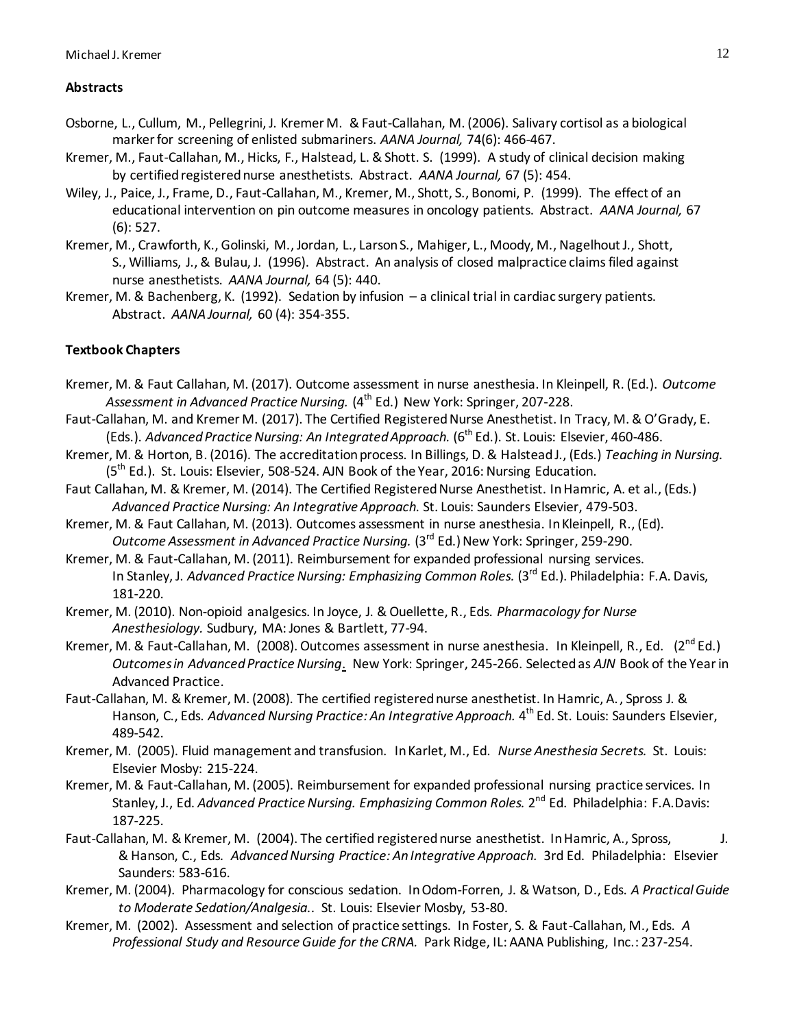### **Abstracts**

- Osborne, L., Cullum, M., Pellegrini, J. Kremer M. & Faut-Callahan, M. (2006). Salivary cortisol as a biological marker for screening of enlisted submariners. *AANA Journal,* 74(6): 466-467.
- Kremer, M., Faut-Callahan, M., Hicks, F., Halstead, L. & Shott. S. (1999). A study of clinical decision making by certified registered nurse anesthetists. Abstract. *AANA Journal,* 67 (5): 454.
- Wiley, J., Paice, J., Frame, D., Faut-Callahan, M., Kremer, M., Shott, S., Bonomi, P. (1999). The effect of an educational intervention on pin outcome measures in oncology patients. Abstract. *AANA Journal,* 67 (6): 527.
- Kremer, M., Crawforth, K., Golinski, M., Jordan, L., Larson S., Mahiger, L., Moody, M., Nagelhout J., Shott, S., Williams, J., & Bulau, J. (1996). Abstract. An analysis of closed malpractice claims filed against nurse anesthetists. *AANA Journal,* 64 (5): 440.
- Kremer, M. & Bachenberg, K. (1992). Sedation by infusion a clinical trial in cardiac surgery patients. Abstract. *AANA Journal,* 60 (4): 354-355.

# **Textbook Chapters**

- Kremer, M. & Faut Callahan, M. (2017). Outcome assessment in nurse anesthesia. In Kleinpell, R. (Ed.). *Outcome*  Assessment in Advanced Practice Nursing. (4<sup>th</sup> Ed.) New York: Springer, 207-228.
- Faut-Callahan, M. and Kremer M. (2017). The Certified Registered Nurse Anesthetist. In Tracy, M. & O'Grady, E. (Eds.). Advanced Practice Nursing: An Integrated Approach. (6<sup>th</sup> Ed.). St. Louis: Elsevier, 460-486.
- Kremer, M. & Horton, B. (2016). The accreditation process. In Billings, D. & Halstead J., (Eds.) *Teaching in Nursing.*  $(5<sup>th</sup>$  Ed.). St. Louis: Elsevier, 508-524. AJN Book of the Year, 2016: Nursing Education.
- Faut Callahan, M. & Kremer, M. (2014). The Certified Registered Nurse Anesthetist. In Hamric, A. et al., (Eds.) *Advanced Practice Nursing: An Integrative Approach.* St. Louis: Saunders Elsevier, 479-503.
- Kremer, M. & Faut Callahan, M. (2013). Outcomes assessment in nurse anesthesia. In Kleinpell, R., (Ed). *Outcome Assessment in Advanced Practice Nursing.* (3<sup>rd</sup> Ed.) New York: Springer, 259-290.
- Kremer, M. & Faut-Callahan, M. (2011). Reimbursement for expanded professional nursing services. In Stanley, J. Advanced Practice Nursing: Emphasizing Common Roles. (3<sup>rd</sup> Ed.). Philadelphia: F.A. Davis, 181-220.
- Kremer, M. (2010). Non-opioid analgesics. In Joyce, J. & Ouellette, R., Eds. *Pharmacology for Nurse Anesthesiology.* Sudbury, MA: Jones & Bartlett, 77-94.
- Kremer, M. & Faut-Callahan, M. (2008). Outcomes assessment in nurse anesthesia. In Kleinpell, R., Ed. (2<sup>nd</sup> Ed.) *Outcomes in Advanced Practice Nursing*. New York: Springer, 245-266. Selected as *AJN* Book of the Year in Advanced Practice.
- Faut-Callahan, M. & Kremer, M. (2008). The certified registered nurse anesthetist. In Hamric, A., Spross J. & Hanson, C., Eds. Advanced Nursing Practice: An Integrative Approach. 4<sup>th</sup> Ed. St. Louis: Saunders Elsevier, 489-542.
- Kremer, M. (2005). Fluid management and transfusion. In Karlet, M., Ed. *Nurse Anesthesia Secrets.* St. Louis: Elsevier Mosby: 215-224.
- Kremer, M. & Faut-Callahan, M. (2005). Reimbursement for expanded professional nursing practice services. In Stanley, J., Ed. Advanced Practice Nursing. Emphasizing Common Roles. 2<sup>nd</sup> Ed. Philadelphia: F.A.Davis: 187-225.
- Faut-Callahan, M. & Kremer, M. (2004). The certified registered nurse anesthetist. In Hamric, A., Spross, J. & Hanson, C., Eds*. Advanced Nursing Practice: An Integrative Approach.* 3rd Ed. Philadelphia: Elsevier Saunders: 583-616.
- Kremer, M. (2004). Pharmacology for conscious sedation. In Odom-Forren, J. & Watson, D., Eds. *A Practical Guide to Moderate Sedation/Analgesia..* St. Louis: Elsevier Mosby, 53-80.
- Kremer, M. (2002). Assessment and selection of practice settings. In Foster, S. & Faut-Callahan, M., Eds. *A Professional Study and Resource Guide for the CRNA.* Park Ridge, IL: AANA Publishing, Inc.: 237-254.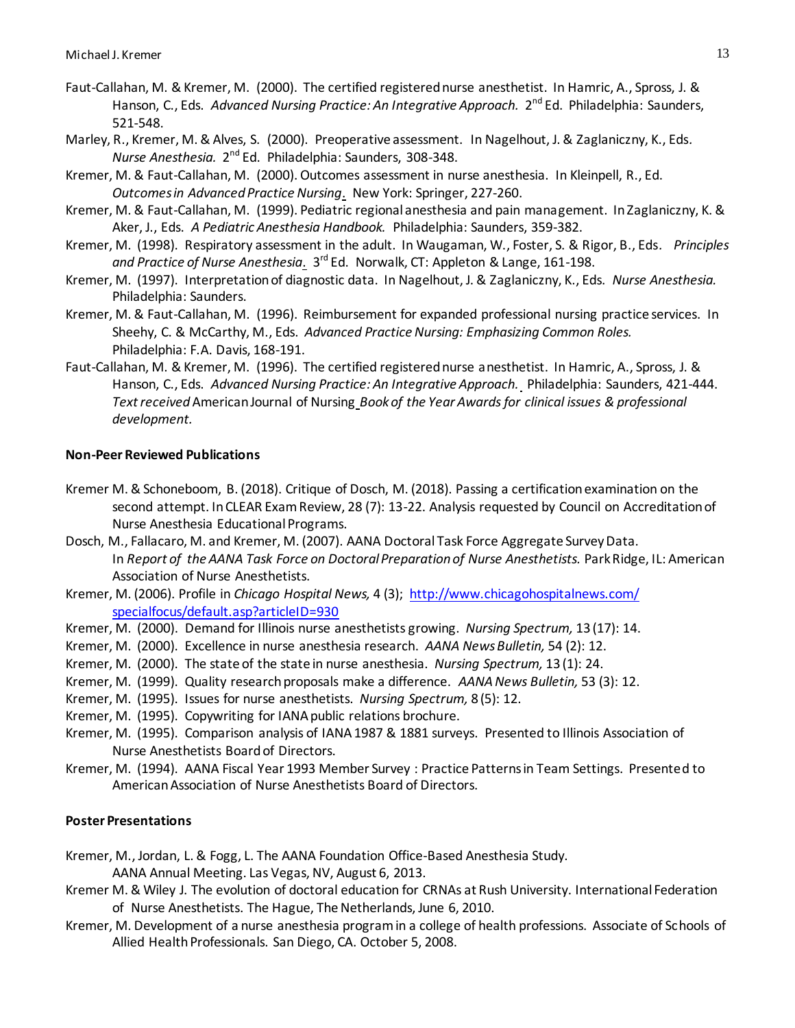- Faut-Callahan, M. & Kremer, M. (2000). The certified registered nurse anesthetist. In Hamric, A., Spross, J. & Hanson, C., Eds. Advanced Nursing Practice: An Integrative Approach. 2<sup>nd</sup> Ed. Philadelphia: Saunders, 521-548.
- Marley, R., Kremer, M. & Alves, S. (2000). Preoperative assessment. In Nagelhout, J. & Zaglaniczny, K., Eds*.*  Nurse Anesthesia. 2<sup>nd</sup> Ed. Philadelphia: Saunders, 308-348.
- Kremer, M. & Faut-Callahan, M. (2000). Outcomes assessment in nurse anesthesia. In Kleinpell, R., Ed. *Outcomes in Advanced Practice Nursing*. New York: Springer, 227-260.
- Kremer, M. & Faut-Callahan, M. (1999). Pediatric regional anesthesia and pain management. In Zaglaniczny, K. & Aker, J., Eds. *A Pediatric Anesthesia Handbook.* Philadelphia: Saunders, 359-382.
- Kremer, M. (1998). Respiratory assessment in the adult. In Waugaman, W., Foster, S. & Rigor, B., Eds*. Principles*  and Practice of Nurse Anesthesia. 3<sup>rd</sup> Ed. Norwalk, CT: Appleton & Lange, 161-198.
- Kremer, M. (1997). Interpretation of diagnostic data. In Nagelhout, J. & Zaglaniczny, K., Eds. *Nurse Anesthesia.* Philadelphia: Saunders.
- Kremer, M. & Faut-Callahan, M. (1996). Reimbursement for expanded professional nursing practice services. In Sheehy, C. & McCarthy, M., Eds. *Advanced Practice Nursing: Emphasizing Common Roles.* Philadelphia: F.A. Davis, 168-191.
- Faut-Callahan, M. & Kremer, M. (1996). The certified registered nurse anesthetist. In Hamric, A., Spross, J. & Hanson, C., Eds. *Advanced Nursing Practice: An Integrative Approach.* Philadelphia: Saunders, 421-444. *Text received* American Journal of Nursing *Book of the Year Awards for clinical issues & professional development.*

### **Non-Peer Reviewed Publications**

- Kremer M. & Schoneboom, B. (2018). Critique of Dosch, M. (2018). Passing a certification examination on the second attempt. In CLEAR Exam Review, 28 (7): 13-22. Analysis requested by Council on Accreditation of Nurse Anesthesia Educational Programs.
- Dosch, M., Fallacaro, M. and Kremer, M. (2007). AANA Doctoral Task Force Aggregate Survey Data. In *Report of the AANA Task Force on Doctoral Preparation of Nurse Anesthetists.* Park Ridge, IL: American Association of Nurse Anesthetists.
- Kremer, M. (2006). Profile in *Chicago Hospital News,* 4 (3);<http://www.chicagohospitalnews.com/> specialfocus/default.asp?articleID=930
- Kremer, M. (2000). Demand for Illinois nurse anesthetists growing. *Nursing Spectrum,* 13 (17): 14.
- Kremer, M. (2000). Excellence in nurse anesthesia research. *AANA News Bulletin,* 54 (2): 12.
- Kremer, M. (2000). The state of the state in nurse anesthesia. *Nursing Spectrum,* 13 (1): 24.
- Kremer, M. (1999). Quality research proposals make a difference. *AANA News Bulletin,* 53 (3): 12.
- Kremer, M. (1995). Issues for nurse anesthetists. *Nursing Spectrum,* 8 (5): 12.
- Kremer, M. (1995). Copywriting for IANA public relations brochure.
- Kremer, M. (1995). Comparison analysis of IANA 1987 & 1881 surveys. Presented to Illinois Association of Nurse Anesthetists Board of Directors.
- Kremer, M. (1994). AANA Fiscal Year 1993 Member Survey : Practice Patterns in Team Settings. Presented to American Association of Nurse Anesthetists Board of Directors.

#### **Poster Presentations**

Kremer, M., Jordan, L. & Fogg, L. The AANA Foundation Office-Based Anesthesia Study.

AANA Annual Meeting. Las Vegas, NV, August 6, 2013.

- Kremer M. & Wiley J. The evolution of doctoral education for CRNAs at Rush University. International Federation of Nurse Anesthetists. The Hague, The Netherlands, June 6, 2010.
- Kremer, M. Development of a nurse anesthesia program in a college of health professions. Associate of Schools of Allied Health Professionals. San Diego, CA. October 5, 2008.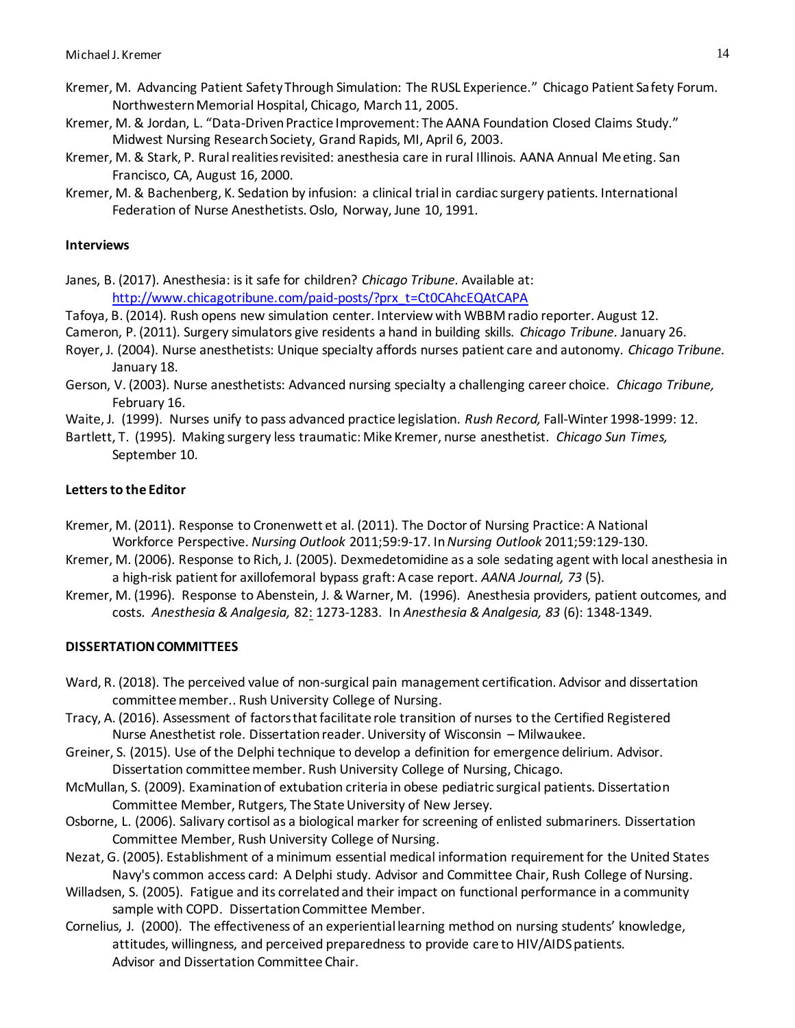- Kremer, M. Advancing Patient Safety Through Simulation: The RUSL Experience." Chicago Patient Safety Forum. Northwestern Memorial Hospital, Chicago, March 11, 2005.
- Kremer, M. & Jordan, L. "Data-Driven Practice Improvement: The AANA Foundation Closed Claims Study." Midwest Nursing Research Society, Grand Rapids, MI, April 6, 2003.
- Kremer, M. & Stark, P. Rural realities revisited: anesthesia care in rural Illinois. AANA Annual Meeting. San Francisco, CA, August 16, 2000.
- Kremer, M. & Bachenberg, K. Sedation by infusion: a clinical trial in cardiac surgery patients. International Federation of Nurse Anesthetists. Oslo, Norway, June 10, 1991.

### **Interviews**

- Janes, B. (2017). Anesthesia: is it safe for children? *Chicago Tribune.* Available at: [http://www.chicagotribune.com/paid-posts/?prx\\_t=Ct0CAhcEQAtCAPA](http://www.chicagotribune.com/paid-posts/?prx_t=Ct0CAhcEQAtCAPA)
- Tafoya, B. (2014). Rush opens new simulation center. Interview with WBBM radio reporter. August 12.
- Cameron, P. (2011). Surgery simulators give residents a hand in building skills. *Chicago Tribune.* January 26.
- Royer, J. (2004). Nurse anesthetists: Unique specialty affords nurses patient care and autonomy. *Chicago Tribune.* January 18.
- Gerson, V. (2003). Nurse anesthetists: Advanced nursing specialty a challenging career choice. *Chicago Tribune,* February 16.
- Waite, J. (1999). Nurses unify to pass advanced practice legislation. *Rush Record,* Fall-Winter 1998-1999: 12.
- Bartlett, T. (1995). Making surgery less traumatic: Mike Kremer, nurse anesthetist. *Chicago Sun Times,* September 10.

### **Lettersto the Editor**

- Kremer, M. (2011). Response to Cronenwett et al. (2011). The Doctor of Nursing Practice: A National Workforce Perspective. *Nursing Outlook* 2011;59:9-17. In *Nursing Outlook* 2011;59:129-130.
- Kremer, M. (2006). Response to Rich, J. (2005). Dexmedetomidine as a sole sedating agent with local anesthesia in a high-risk patient for axillofemoral bypass graft: A case report. *AANA Journal, 73* (5).
- Kremer, M. (1996). Response to Abenstein, J. & Warner, M. (1996). Anesthesia providers, patient outcomes, and costs. *Anesthesia & Analgesia,* 82: 1273-1283. In *Anesthesia & Analgesia, 83* (6): 1348-1349.

### **DISSERTATION COMMITTEES**

- Ward, R. (2018). The perceived value of non-surgical pain management certification. Advisor and dissertation committee member.. Rush University College of Nursing.
- Tracy, A. (2016). Assessment of factors that facilitate role transition of nurses to the Certified Registered Nurse Anesthetist role. Dissertation reader. University of Wisconsin – Milwaukee.
- Greiner, S. (2015). Use of the Delphi technique to develop a definition for emergence delirium. Advisor. Dissertation committee member. Rush University College of Nursing, Chicago.
- McMullan, S. (2009). Examination of extubation criteria in obese pediatric surgical patients. Dissertation Committee Member, Rutgers, The State University of New Jersey.
- Osborne, L. (2006). Salivary cortisol as a biological marker for screening of enlisted submariners. Dissertation Committee Member, Rush University College of Nursing.
- Nezat, G. (2005). Establishment of a minimum essential medical information requirement for the United States Navy's common access card: A Delphi study. Advisor and Committee Chair, Rush College of Nursing.
- Willadsen, S. (2005). Fatigue and its correlated and their impact on functional performance in a community sample with COPD. Dissertation Committee Member.
- Cornelius, J. (2000). The effectiveness of an experiential learning method on nursing students' knowledge, attitudes, willingness, and perceived preparedness to provide care to HIV/AIDS patients. Advisor and Dissertation Committee Chair.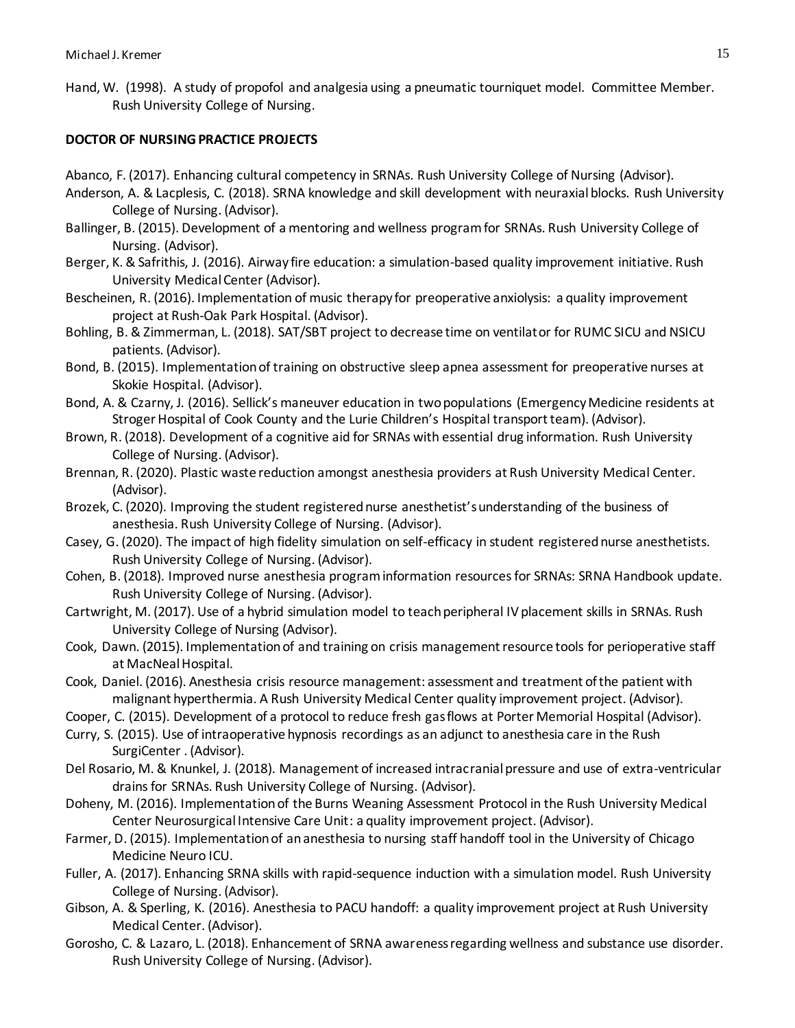Hand, W. (1998). A study of propofol and analgesia using a pneumatic tourniquet model. Committee Member. Rush University College of Nursing.

# **DOCTOR OF NURSING PRACTICE PROJECTS**

- Abanco, F. (2017). Enhancing cultural competency in SRNAs. Rush University College of Nursing (Advisor).
- Anderson, A. & Lacplesis, C. (2018). SRNA knowledge and skill development with neuraxial blocks. Rush University College of Nursing. (Advisor).
- Ballinger, B. (2015). Development of a mentoring and wellness program for SRNAs. Rush University College of Nursing. (Advisor).
- Berger, K. & Safrithis, J. (2016). Airway fire education: a simulation-based quality improvement initiative. Rush University Medical Center (Advisor).
- Bescheinen, R. (2016). Implementation of music therapy for preoperative anxiolysis: a quality improvement project at Rush-Oak Park Hospital. (Advisor).
- Bohling, B. & Zimmerman, L. (2018). SAT/SBT project to decrease time on ventilator for RUMC SICU and NSICU patients. (Advisor).
- Bond, B. (2015). Implementation of training on obstructive sleep apnea assessment for preoperative nurses at Skokie Hospital. (Advisor).
- Bond, A. & Czarny, J. (2016). Sellick's maneuver education in two populations (Emergency Medicine residents at Stroger Hospital of Cook County and the Lurie Children's Hospital transport team). (Advisor).
- Brown, R. (2018). Development of a cognitive aid for SRNAs with essential drug information. Rush University College of Nursing. (Advisor).
- Brennan, R. (2020). Plastic waste reduction amongst anesthesia providers at Rush University Medical Center. (Advisor).
- Brozek, C. (2020). Improving the student registered nurse anesthetist's understanding of the business of anesthesia. Rush University College of Nursing. (Advisor).
- Casey, G. (2020). The impact of high fidelity simulation on self-efficacy in student registered nurse anesthetists. Rush University College of Nursing. (Advisor).
- Cohen, B. (2018). Improved nurse anesthesia program information resources for SRNAs: SRNA Handbook update. Rush University College of Nursing. (Advisor).
- Cartwright, M. (2017). Use of a hybrid simulation model to teach peripheral IV placement skills in SRNAs. Rush University College of Nursing (Advisor).
- Cook, Dawn. (2015). Implementation of and training on crisis management resource tools for perioperative staff at MacNeal Hospital.
- Cook, Daniel. (2016). Anesthesia crisis resource management: assessment and treatment of the patient with malignant hyperthermia. A Rush University Medical Center quality improvement project. (Advisor).
- Cooper, C. (2015). Development of a protocol to reduce fresh gas flows at Porter Memorial Hospital (Advisor).
- Curry, S. (2015). Use of intraoperative hypnosis recordings as an adjunct to anesthesia care in the Rush SurgiCenter . (Advisor).
- Del Rosario, M. & Knunkel, J. (2018). Management of increased intracranial pressure and use of extra-ventricular drains for SRNAs. Rush University College of Nursing. (Advisor).
- Doheny, M. (2016). Implementation of the Burns Weaning Assessment Protocol in the Rush University Medical Center Neurosurgical Intensive Care Unit: a quality improvement project. (Advisor).
- Farmer, D. (2015). Implementation of an anesthesia to nursing staff handoff tool in the University of Chicago Medicine Neuro ICU.
- Fuller, A. (2017). Enhancing SRNA skills with rapid-sequence induction with a simulation model. Rush University College of Nursing. (Advisor).
- Gibson, A. & Sperling, K. (2016). Anesthesia to PACU handoff: a quality improvement project at Rush University Medical Center. (Advisor).
- Gorosho, C. & Lazaro, L. (2018). Enhancement of SRNA awareness regarding wellness and substance use disorder. Rush University College of Nursing. (Advisor).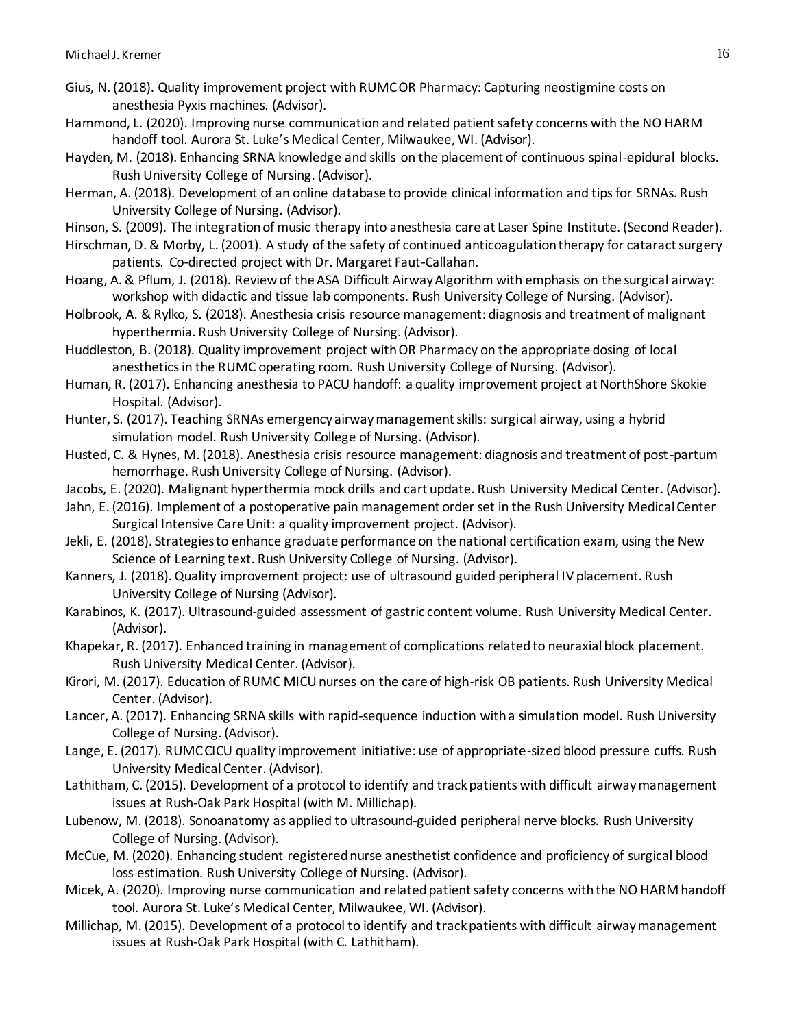- Gius, N. (2018). Quality improvement project with RUMC OR Pharmacy: Capturing neostigmine costs on anesthesia Pyxis machines. (Advisor).
- Hammond, L. (2020). Improving nurse communication and related patient safety concerns with the NO HARM handoff tool. Aurora St. Luke's Medical Center, Milwaukee, WI. (Advisor).
- Hayden, M. (2018). Enhancing SRNA knowledge and skills on the placement of continuous spinal-epidural blocks. Rush University College of Nursing. (Advisor).
- Herman, A. (2018). Development of an online database to provide clinical information and tips for SRNAs. Rush University College of Nursing. (Advisor).
- Hinson, S. (2009). The integration of music therapy into anesthesia care at Laser Spine Institute. (Second Reader).
- Hirschman, D. & Morby, L. (2001). A study of the safety of continued anticoagulation therapy for cataract surgery patients. Co-directed project with Dr. Margaret Faut-Callahan.
- Hoang, A. & Pflum, J. (2018). Review of the ASA Difficult Airway Algorithm with emphasis on the surgical airway: workshop with didactic and tissue lab components. Rush University College of Nursing. (Advisor).
- Holbrook, A. & Rylko, S. (2018). Anesthesia crisis resource management: diagnosis and treatment of malignant hyperthermia. Rush University College of Nursing. (Advisor).
- Huddleston, B. (2018). Quality improvement project with OR Pharmacy on the appropriate dosing of local anesthetics in the RUMC operating room. Rush University College of Nursing. (Advisor).
- Human, R. (2017). Enhancing anesthesia to PACU handoff: a quality improvement project at NorthShore Skokie Hospital. (Advisor).
- Hunter, S. (2017). Teaching SRNAs emergency airway management skills: surgical airway, using a hybrid simulation model. Rush University College of Nursing. (Advisor).
- Husted, C. & Hynes, M. (2018). Anesthesia crisis resource management: diagnosis and treatment of post-partum hemorrhage. Rush University College of Nursing. (Advisor).
- Jacobs, E. (2020). Malignant hyperthermia mock drills and cart update. Rush University Medical Center. (Advisor).
- Jahn, E. (2016). Implement of a postoperative pain management order set in the Rush University Medical Center Surgical Intensive Care Unit: a quality improvement project. (Advisor).
- Jekli, E. (2018). Strategies to enhance graduate performance on the national certification exam, using the New Science of Learning text. Rush University College of Nursing. (Advisor).
- Kanners, J. (2018). Quality improvement project: use of ultrasound guided peripheral IV placement. Rush University College of Nursing (Advisor).
- Karabinos, K. (2017). Ultrasound-guided assessment of gastric content volume. Rush University Medical Center. (Advisor).
- Khapekar, R. (2017). Enhanced training in management of complications related to neuraxial block placement. Rush University Medical Center. (Advisor).
- Kirori, M. (2017). Education of RUMC MICU nurses on the care of high-risk OB patients. Rush University Medical Center. (Advisor).
- Lancer, A. (2017). Enhancing SRNA skills with rapid-sequence induction with a simulation model. Rush University College of Nursing. (Advisor).
- Lange, E. (2017). RUMC CICU quality improvement initiative: use of appropriate-sized blood pressure cuffs. Rush University Medical Center. (Advisor).
- Lathitham, C. (2015). Development of a protocol to identify and track patients with difficult airway management issues at Rush-Oak Park Hospital (with M. Millichap).
- Lubenow, M. (2018). Sonoanatomy as applied to ultrasound-guided peripheral nerve blocks. Rush University College of Nursing. (Advisor).
- McCue, M. (2020). Enhancing student registered nurse anesthetist confidence and proficiency of surgical blood loss estimation. Rush University College of Nursing. (Advisor).
- Micek, A. (2020). Improving nurse communication and related patient safety concerns with the NO HARM handoff tool. Aurora St. Luke's Medical Center, Milwaukee, WI. (Advisor).
- Millichap, M. (2015). Development of a protocol to identify and track patients with difficult airway management issues at Rush-Oak Park Hospital (with C. Lathitham).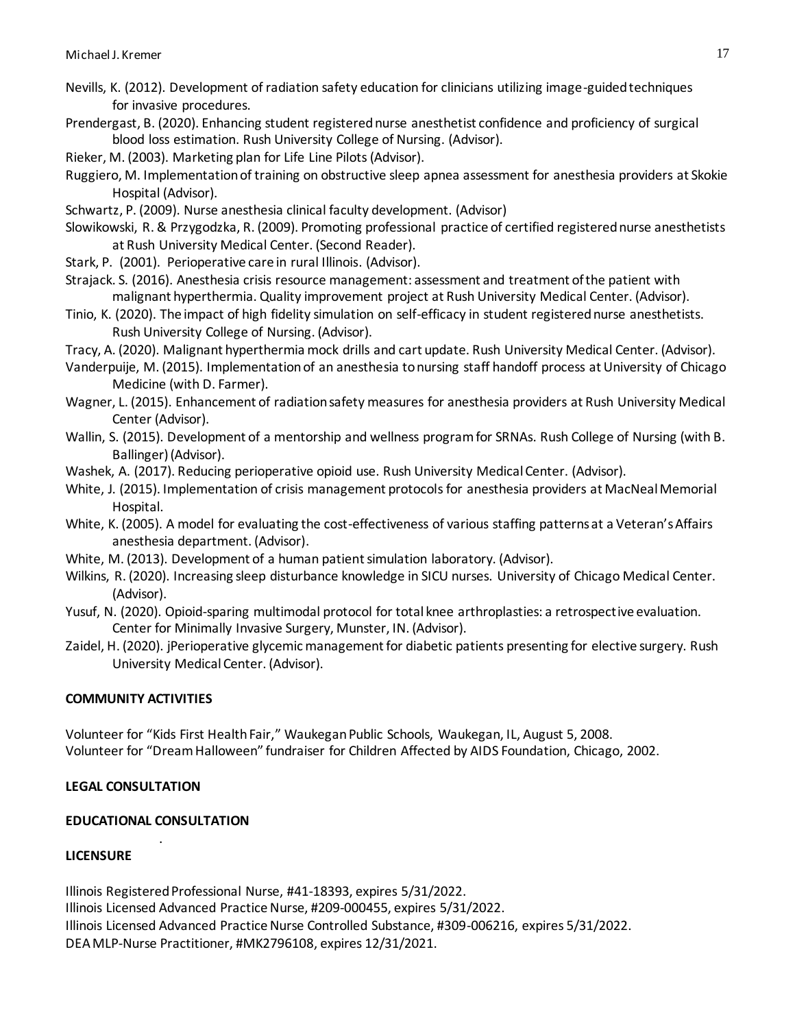- Nevills, K. (2012). Development of radiation safety education for clinicians utilizing image-guided techniques for invasive procedures.
- Prendergast, B. (2020). Enhancing student registered nurse anesthetist confidence and proficiency of surgical blood loss estimation. Rush University College of Nursing. (Advisor).
- Rieker, M. (2003). Marketing plan for Life Line Pilots (Advisor).
- Ruggiero, M. Implementation of training on obstructive sleep apnea assessment for anesthesia providers at Skokie Hospital (Advisor).
- Schwartz, P. (2009). Nurse anesthesia clinical faculty development. (Advisor)
- Slowikowski, R. & Przygodzka, R. (2009). Promoting professional practice of certified registered nurse anesthetists at Rush University Medical Center. (Second Reader).
- Stark, P. (2001). Perioperative care in rural Illinois. (Advisor).
- Strajack. S. (2016). Anesthesia crisis resource management: assessment and treatment of the patient with malignant hyperthermia. Quality improvement project at Rush University Medical Center. (Advisor).
- Tinio, K. (2020). The impact of high fidelity simulation on self-efficacy in student registered nurse anesthetists. Rush University College of Nursing. (Advisor).

Tracy, A. (2020). Malignant hyperthermia mock drills and cart update. Rush University Medical Center. (Advisor).

- Vanderpuije, M. (2015). Implementation of an anesthesia to nursing staff handoff process at University of Chicago Medicine (with D. Farmer).
- Wagner, L. (2015). Enhancement of radiation safety measures for anesthesia providers at Rush University Medical Center (Advisor).
- Wallin, S. (2015). Development of a mentorship and wellness program for SRNAs. Rush College of Nursing (with B. Ballinger) (Advisor).
- Washek, A. (2017). Reducing perioperative opioid use. Rush University Medical Center. (Advisor).
- White, J. (2015). Implementation of crisis management protocols for anesthesia providers at MacNeal Memorial Hospital.
- White, K. (2005). A model for evaluating the cost-effectiveness of various staffing patterns at a Veteran's Affairs anesthesia department. (Advisor).
- White, M. (2013). Development of a human patient simulation laboratory. (Advisor).
- Wilkins, R. (2020). Increasing sleep disturbance knowledge in SICU nurses. University of Chicago Medical Center. (Advisor).
- Yusuf, N. (2020). Opioid-sparing multimodal protocol for total knee arthroplasties: a retrospective evaluation. Center for Minimally Invasive Surgery, Munster, IN. (Advisor).
- Zaidel, H. (2020). jPerioperative glycemic management for diabetic patients presenting for elective surgery. Rush University Medical Center. (Advisor).

# **COMMUNITY ACTIVITIES**

Volunteer for "Kids First Health Fair," Waukegan Public Schools, Waukegan, IL, August 5, 2008. Volunteer for "Dream Halloween" fundraiser for Children Affected by AIDS Foundation, Chicago, 2002.

# **LEGAL CONSULTATION**

# **EDUCATIONAL CONSULTATION** .

# **LICENSURE**

Illinois Registered Professional Nurse, #41-18393, expires 5/31/2022. Illinois Licensed Advanced Practice Nurse, #209-000455, expires 5/31/2022. Illinois Licensed Advanced Practice Nurse Controlled Substance, #309-006216, expires 5/31/2022. DEA MLP-Nurse Practitioner, #MK2796108, expires 12/31/2021.